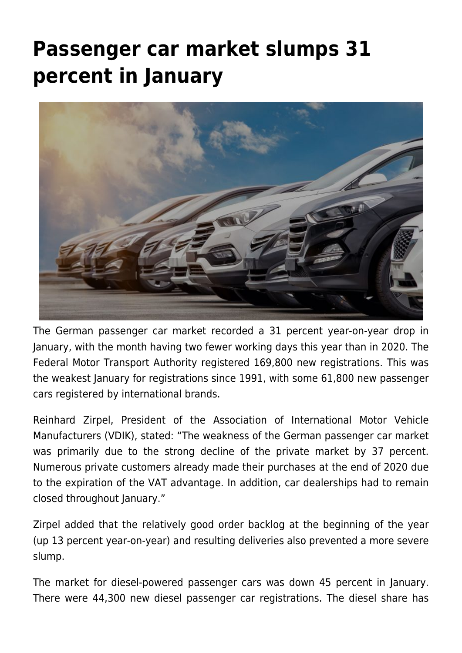## **[Passenger car market slumps 31](https://www.vdik.de/en/2021/passenger-car-market-slumps-31-percent-in-january/) [percent in January](https://www.vdik.de/en/2021/passenger-car-market-slumps-31-percent-in-january/)**



The German passenger car market recorded a 31 percent year-on-year drop in January, with the month having two fewer working days this year than in 2020. The Federal Motor Transport Authority registered 169,800 new registrations. This was the weakest January for registrations since 1991, with some 61,800 new passenger cars registered by international brands.

Reinhard Zirpel, President of the Association of International Motor Vehicle Manufacturers (VDIK), stated: "The weakness of the German passenger car market was primarily due to the strong decline of the private market by 37 percent. Numerous private customers already made their purchases at the end of 2020 due to the expiration of the VAT advantage. In addition, car dealerships had to remain closed throughout January."

Zirpel added that the relatively good order backlog at the beginning of the year (up 13 percent year-on-year) and resulting deliveries also prevented a more severe slump.

The market for diesel-powered passenger cars was down 45 percent in January. There were 44,300 new diesel passenger car registrations. The diesel share has